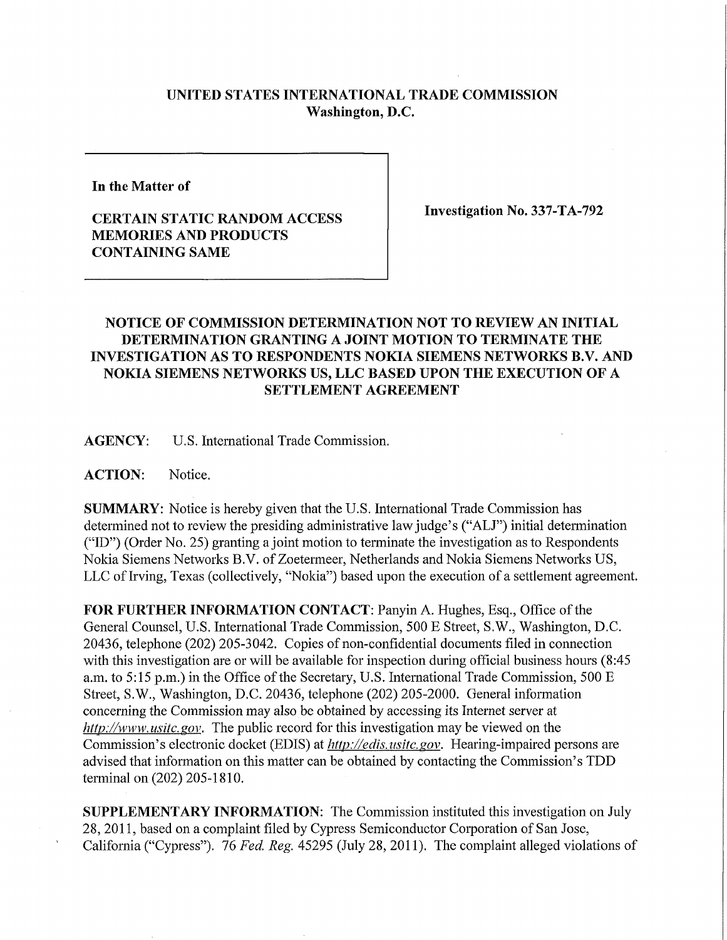## **UNITED STATES INTERNATIONAL TRADE COMMISSION Washington, D.C.**

**In the Matter of** 

## **CERTAIN STATIC RANDOM ACCESS MEMORIES AND PRODUCTS CONTAINING SAME**

**Investigation No. 337-TA-792** 

## **NOTICE OF COMMISSION DETERMINATION NOT TO REVIEW AN INITIAL DETERMINATION GRANTING A JOINT MOTION TO TERMINATE THE INVESTIGATION AS TO RESPONDENTS NOKIA SIEMENS NETWORKS B.V. AND NOKIA SIEMENS NETWORKS US, LL C BASED UPON THE EXECUTION OF A SETTLEMENT AGREEMENT**

**AGENCY:** U.S. International Trade Commission.

**ACTION:** Notice.

**SUMMARY:** Notice is hereby given that the U.S. International Trade Commission has determined not to review the presiding administrative law judge's ("ALJ") initial determination ("ID") (Order No. 25) granting a joint motion to terminate the investigation as to Respondents Nokia Siemens Networks B.V. of Zoetermeer, Netherlands and Nokia Siemens Networks US, LLC of Irving, Texas (collectively, "Nokia") based upon the execution of a settlement agreement.

**FOR FURTHER INFORMATION CONTACT: Panyin A. Hughes, Esq., Office of the** General Counsel, U.S. International Trade Commission, 500 E Street, S.W., Washington, D.C. 20436, telephone (202) 205-3042. Copies of non-confidential documents filed in connection with this investigation are or will be available for inspection during official business hours (8:45) a.m. to 5:15 p.m.) in the Office of the Secretary, U.S. International Trade Commission, 500 E Street, S.W., Washington, D.C. 20436, telephone (202) 205-2000. General information concerning the Commission may also be obtained by accessing its Internet server at *http://www. usitc. gov.* The public record for this investigation may be viewed on the Commission's electronic docket (EDIS) at *http://edis. usitc.gov.* Hearing-impaired persons are advised that information on this matter can be obtained by contacting the Commission's TDD terminal on (202) 205-1810.

**SUPPLEMENTARY INFORMATION:** The Commission instituted this investigation on July 28, 2011, based on a complaint filed by Cypress Semiconductor Corporation of San Jose, California ("Cypress"). 76 *Fed. Reg.* 45295 (July 28, 2011). The complaint alleged violations of